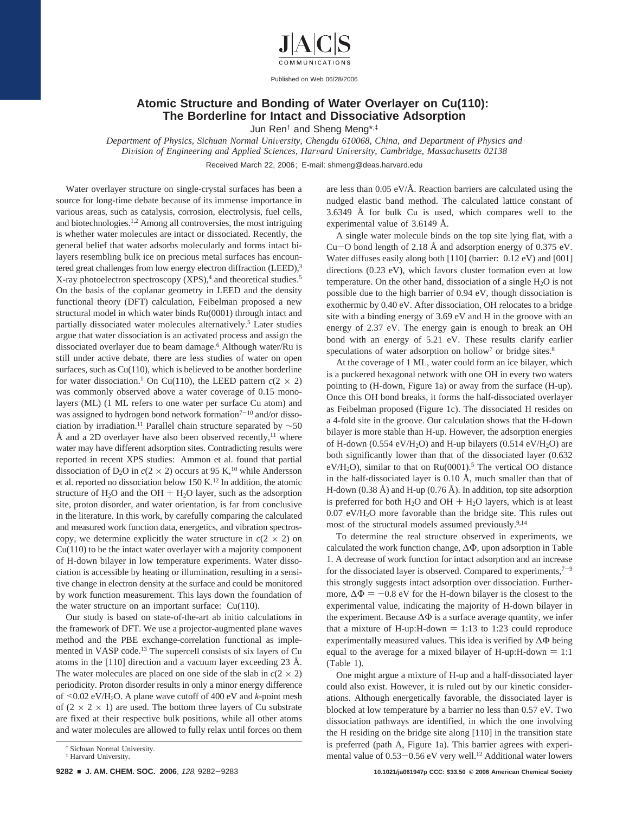

Published on Web 06/28/2006

## **Atomic Structure and Bonding of Water Overlayer on Cu(110): The Borderline for Intact and Dissociative Adsorption**

Jun Ren† and Sheng Meng\*,‡

*Department of Physics, Sichuan Normal Uni*V*ersity, Chengdu 610068, China, and Department of Physics and Di*V*ision of Engineering and Applied Sciences, Har*V*ard Uni*V*ersity, Cambridge, Massachusetts 02138* Received March 22, 2006; E-mail: shmeng@deas.harvard.edu

various areas, such as catalysis, corrosion, electrolysis, fuel cells, and biotechnologies.1,2 Among all controversies, the most intriguing is whether water molecules are intact or dissociated. Recently, the general belief that water adsorbs molecularly and forms intact bilayers resembling bulk ice on precious metal surfaces has encountered great challenges from low energy electron diffraction (LEED),<sup>3</sup> X-ray photoelectron spectroscopy (XPS),<sup>4</sup> and theoretical studies.<sup>5</sup> On the basis of the coplanar geometry in LEED and the density functional theory (DFT) calculation, Feibelman proposed a new structural model in which water binds Ru(0001) through intact and partially dissociated water molecules alternatively.5 Later studies argue that water dissociation is an activated process and assign the dissociated overlayer due to beam damage.6 Although water/Ru is still under active debate, there are less studies of water on open surfaces, such as  $Cu(110)$ , which is believed to be another borderline for water dissociation.<sup>1</sup> On Cu(110), the LEED pattern  $c(2 \times 2)$ was commonly observed above a water coverage of 0.15 monolayers (ML) (1 ML refers to one water per surface Cu atom) and was assigned to hydrogen bond network formation<sup> $7-10$ </sup> and/or dissociation by irradiation.<sup>11</sup> Parallel chain structure separated by  $~\sim 50$ Å and a 2D overlayer have also been observed recently,<sup>11</sup> where water may have different adsorption sites. Contradicting results were reported in recent XPS studies: Ammon et al. found that partial dissociation of  $D_2O$  in  $c(2 \times 2)$  occurs at 95 K,<sup>10</sup> while Andersson et al. reported no dissociation below 150 K.12 In addition, the atomic structure of  $H_2O$  and the OH +  $H_2O$  layer, such as the adsorption site, proton disorder, and water orientation, is far from conclusive in the literature. In this work, by carefully comparing the calculated and measured work function data, energetics, and vibration spectroscopy, we determine explicitly the water structure in  $c(2 \times 2)$  on  $Cu(110)$  to be the intact water overlayer with a majority component of H-down bilayer in low temperature experiments. Water dissociation is accessible by heating or illumination, resulting in a sensitive change in electron density at the surface and could be monitored by work function measurement. This lays down the foundation of the water structure on an important surface: Cu(110).

Water overlayer structure on single-crystal surfaces has been a source for long-time debate because of its immense importance in

Our study is based on state-of-the-art ab initio calculations in the framework of DFT. We use a projector-augmented plane waves method and the PBE exchange-correlation functional as implemented in VASP code.13 The supercell consists of six layers of Cu atoms in the [110] direction and a vacuum layer exceeding 23 Å. The water molecules are placed on one side of the slab in  $c(2 \times 2)$ periodicity. Proton disorder results in only a minor energy difference of  $\leq 0.02$  eV/H<sub>2</sub>O. A plane wave cutoff of 400 eV and *k*-point mesh of  $(2 \times 2 \times 1)$  are used. The bottom three layers of Cu substrate are fixed at their respective bulk positions, while all other atoms and water molecules are allowed to fully relax until forces on them

are less than 0.05 eV/Å. Reaction barriers are calculated using the nudged elastic band method. The calculated lattice constant of 3.6349 Å for bulk Cu is used, which compares well to the experimental value of 3.6149 Å.

A single water molecule binds on the top site lying flat, with a Cu-O bond length of 2.18 Å and adsorption energy of 0.375 eV. Water diffuses easily along both [110] (barrier: 0.12 eV) and [001] directions (0.23 eV), which favors cluster formation even at low temperature. On the other hand, dissociation of a single  $H_2O$  is not possible due to the high barrier of 0.94 eV, though dissociation is exothermic by 0.40 eV. After dissociation, OH relocates to a bridge site with a binding energy of 3.69 eV and H in the groove with an energy of 2.37 eV. The energy gain is enough to break an OH bond with an energy of 5.21 eV. These results clarify earlier speculations of water adsorption on hollow<sup>7</sup> or bridge sites.<sup>8</sup>

At the coverage of 1 ML, water could form an ice bilayer, which is a puckered hexagonal network with one OH in every two waters pointing to (H-down, Figure 1a) or away from the surface (H-up). Once this OH bond breaks, it forms the half-dissociated overlayer as Feibelman proposed (Figure 1c). The dissociated H resides on a 4-fold site in the groove. Our calculation shows that the H-down bilayer is more stable than H-up. However, the adsorption energies of H-down (0.554 eV/H<sub>2</sub>O) and H-up bilayers (0.514 eV/H<sub>2</sub>O) are both significantly lower than that of the dissociated layer (0.632  $eV/H_2O$ ), similar to that on Ru(0001).<sup>5</sup> The vertical OO distance in the half-dissociated layer is 0.10 Å, much smaller than that of H-down (0.38 Å) and H-up (0.76 Å). In addition, top site adsorption is preferred for both  $H_2O$  and  $OH + H_2O$  layers, which is at least 0.07 eV/H2O more favorable than the bridge site. This rules out most of the structural models assumed previously.9,14

To determine the real structure observed in experiments, we calculated the work function change, ∆Φ, upon adsorption in Table 1. A decrease of work function for intact adsorption and an increase for the dissociated layer is observed. Compared to experiments,  $7-9$ this strongly suggests intact adsorption over dissociation. Furthermore,  $\Delta \Phi = -0.8$  eV for the H-down bilayer is the closest to the experimental value, indicating the majority of H-down bilayer in the experiment. Because  $\Delta\Phi$  is a surface average quantity, we infer that a mixture of H-up: H-down  $= 1:13$  to 1:23 could reproduce experimentally measured values. This idea is verified by ∆Φ being equal to the average for a mixed bilayer of H-up: H-down  $= 1:1$ (Table 1).

One might argue a mixture of H-up and a half-dissociated layer could also exist. However, it is ruled out by our kinetic considerations. Although energetically favorable, the dissociated layer is blocked at low temperature by a barrier no less than 0.57 eV. Two dissociation pathways are identified, in which the one involving the H residing on the bridge site along [110] in the transition state is preferred (path A, Figure 1a). This barrier agrees with experimental value of 0.53-0.56 eV very well.<sup>12</sup> Additional water lowers

<sup>†</sup> Sichuan Normal University. ‡ Harvard University.